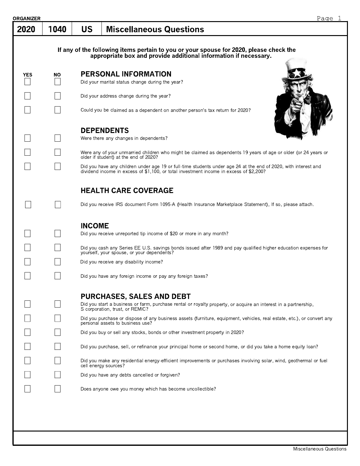| ORGANIZER  |      |               |                                                                                                                                                                                                           | Page 1 |
|------------|------|---------------|-----------------------------------------------------------------------------------------------------------------------------------------------------------------------------------------------------------|--------|
| 2020       | 1040 | <b>US</b>     | <b>Miscellaneous Questions</b>                                                                                                                                                                            |        |
|            |      |               | If any of the following items pertain to you or your spouse for 2020, please check the appropriate box and provide additional information if necessary.                                                   |        |
| <b>YES</b> | ΝO   |               | <b>PERSONAL INFORMATION</b>                                                                                                                                                                               |        |
|            |      |               | Did your marital status change during the year?                                                                                                                                                           |        |
|            |      |               | Did your address change during the year?                                                                                                                                                                  |        |
|            |      |               | Could you be claimed as a dependent on another person's tax return for 2020?                                                                                                                              |        |
|            |      |               | <b>DEPENDENTS</b>                                                                                                                                                                                         |        |
|            |      |               | Were there any changes in dependents?                                                                                                                                                                     |        |
|            |      |               | Were any of your unmarried children who might be claimed as dependents 19 years of age or older (or 24 years or<br>older if student) at the end of 2020?                                                  |        |
|            |      |               | Did you have any children under age 19 or full-time students under age 24 at the end of 2020, with interest and<br>dividend income in excess of \$1,100, or total investment income in excess of \$2,200? |        |
|            |      |               | <b>HEALTH CARE COVERAGE</b>                                                                                                                                                                               |        |
|            |      |               | Did you receive IRS document Form 1095-A (Health Insurance Marketplace Statement), If so, please attach.                                                                                                  |        |
|            |      | <b>INCOME</b> | Did you receive unreported tip income of \$20 or more in any month?                                                                                                                                       |        |
|            |      |               | Did you cash any Series EE U.S. savings bonds issued after 1989 and pay qualified higher education expenses for<br>yourself, your spouse, or your dependents?                                             |        |
|            |      |               | Did you receive any disability income?                                                                                                                                                                    |        |
|            |      |               | Did you have any foreign income or pay any foreign taxes?                                                                                                                                                 |        |
|            |      |               | <b>PURCHASES, SALES AND DEBT</b><br>Did you start a business or farm, purchase rental or royalty property, or acquire an interest in a partnership,<br>S corporation, trust, or REMIC?                    |        |
|            |      |               | Did you purchase or dispose of any business assets (furniture, equipment, vehicles, real estate, etc.), or convert any<br>personal assets to business use?                                                |        |
|            |      |               | Did you buy or sell any stocks, bonds or other investment property in 2020?                                                                                                                               |        |
|            |      |               | Did you purchase, sell, or refinance your principal home or second home, or did you take a home equity loan?                                                                                              |        |
|            |      |               | Did you make any residential energy-efficient improvements or purchases involving solar, wind, geothermal or fuel<br>cell energy sources?                                                                 |        |
|            |      |               | Did you have any debts cancelled or forgiven?                                                                                                                                                             |        |
|            |      |               | Does anyone owe you money which has become uncollectible?                                                                                                                                                 |        |
|            |      |               |                                                                                                                                                                                                           |        |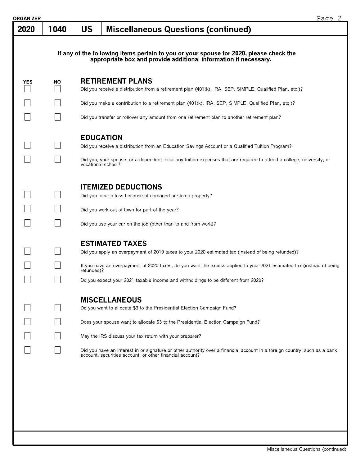| <b>)RGANIZER</b> |           |                                        |                                                                                                                                                                                                                                                                                                                                                                                                                                          | Page 2 |
|------------------|-----------|----------------------------------------|------------------------------------------------------------------------------------------------------------------------------------------------------------------------------------------------------------------------------------------------------------------------------------------------------------------------------------------------------------------------------------------------------------------------------------------|--------|
| 2020             | 1040      | <b>US</b>                              | <b>Miscellaneous Questions (continued)</b>                                                                                                                                                                                                                                                                                                                                                                                               |        |
|                  |           |                                        | If any of the following items pertain to you or your spouse for 2020, please check the appropriate box and provide additional information if necessary.                                                                                                                                                                                                                                                                                  |        |
| <b>YES</b>       | <b>NO</b> |                                        | <b>RETIREMENT PLANS</b><br>Did you receive a distribution from a retirement plan (401(k), IRA, SEP, SIMPLE, Qualified Plan, etc.)?                                                                                                                                                                                                                                                                                                       |        |
|                  |           |                                        | Did you make a contribution to a retirement plan (401(k), IRA, SEP, SIMPLE, Qualified Plan, etc.)?                                                                                                                                                                                                                                                                                                                                       |        |
|                  |           |                                        | Did you transfer or rollover any amount from one retirement plan to another retirement plan?                                                                                                                                                                                                                                                                                                                                             |        |
|                  |           | <b>EDUCATION</b><br>vocational school? | Did you receive a distribution from an Education Savings Account or a Qualified Tuition Program?<br>Did you, your spouse, or a dependent incur any tuition expenses that are required to attend a college, university, or                                                                                                                                                                                                                |        |
|                  |           |                                        | <b>ITEMIZED DEDUCTIONS</b><br>Did you incur a loss because of damaged or stolen property?<br>Did you work out of town for part of the year?                                                                                                                                                                                                                                                                                              |        |
|                  |           |                                        | Did you use your car on the job (other than to and from work)?                                                                                                                                                                                                                                                                                                                                                                           |        |
|                  |           | refunded)?                             | <b>ESTIMATED TAXES</b><br>Did you apply an overpayment of 2019 taxes to your 2020 estimated tax (instead of being refunded)?<br>If you have an overpayment of 2020 taxes, do you want the excess applied to your 2021 estimated tax (instead of being<br>Do you expect your 2021 taxable income and withholdings to be different from 2020?                                                                                              |        |
|                  |           |                                        | <b>MISCELLANEOUS</b><br>Do you want to allocate \$3 to the Presidential Election Campaign Fund?<br>Does your spouse want to allocate \$3 to the Presidential Election Campaign Fund?<br>May the IRS discuss your tax return with your preparer?<br>Did you have an interest in or signature or other authority over a financial account in a foreign country, such as a bank<br>account, securities account, or other financial account? |        |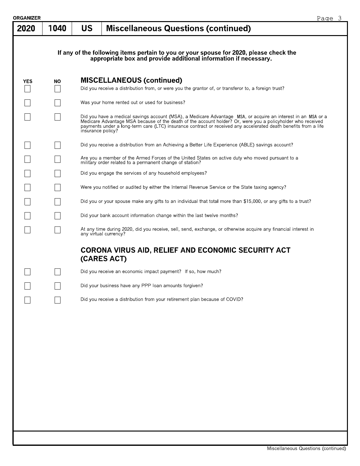| <b>DRGANIZER</b> |      | Page 3                                                                                                                                                                                                                                                                                                                                                               |
|------------------|------|----------------------------------------------------------------------------------------------------------------------------------------------------------------------------------------------------------------------------------------------------------------------------------------------------------------------------------------------------------------------|
| 2020             | 1040 | <b>US</b><br><b>Miscellaneous Questions (continued)</b>                                                                                                                                                                                                                                                                                                              |
|                  |      |                                                                                                                                                                                                                                                                                                                                                                      |
|                  |      | If any of the following items pertain to you or your spouse for 2020, please check the<br>appropriate box and provide additional information if necessary.                                                                                                                                                                                                           |
| <b>YES</b>       | ΝO   | <b>MISCELLANEOUS (continued)</b>                                                                                                                                                                                                                                                                                                                                     |
|                  |      | Did you receive a distribution from, or were you the grantor of, or transferor to, a foreign trust?                                                                                                                                                                                                                                                                  |
|                  |      | Was your home rented out or used for business?                                                                                                                                                                                                                                                                                                                       |
|                  |      | Did you have a medical savings account (MSA), a Medicare Advantage MSA, or acquire an interest in an MSA or a<br>Medicare Advantage MSA because of the death of the account holder? Or, were you a policyholder who received<br>payments under a long-term care (LTC) insurance contract or received any accelerated death benefits from a life<br>insurance policy? |
|                  |      | Did you receive a distribution from an Achieving a Better Life Experience (ABLE) savings account?                                                                                                                                                                                                                                                                    |
|                  |      | Are you a member of the Armed Forces of the United States on active duty who moved pursuant to a<br>military order related to a permanent change of station?                                                                                                                                                                                                         |
|                  |      | Did you engage the services of any household employees?                                                                                                                                                                                                                                                                                                              |
|                  |      | Were you notified or audited by either the Internal Revenue Service or the State taxing agency?                                                                                                                                                                                                                                                                      |
|                  |      | Did you or your spouse make any gifts to an individual that total more than \$15,000, or any gifts to a trust?                                                                                                                                                                                                                                                       |
|                  |      | Did your bank account information change within the last twelve months?                                                                                                                                                                                                                                                                                              |
|                  |      | At any time during 2020, did you receive, sell, send, exchange, or otherwise acquire any financial interest in<br>any virtual currency?                                                                                                                                                                                                                              |
|                  |      | <b>CORONA VIRUS AID, RELIEF AND ECONOMIC SECURITY ACT</b><br>(CARES ACT)                                                                                                                                                                                                                                                                                             |
|                  |      | Did you receive an economic impact payment? If so, how much?                                                                                                                                                                                                                                                                                                         |
|                  |      | Did your business have any PPP loan amounts forgiven?                                                                                                                                                                                                                                                                                                                |
|                  |      | Did you receive a distribution from your retirement plan because of COVID?                                                                                                                                                                                                                                                                                           |
|                  |      |                                                                                                                                                                                                                                                                                                                                                                      |
|                  |      |                                                                                                                                                                                                                                                                                                                                                                      |
|                  |      |                                                                                                                                                                                                                                                                                                                                                                      |
|                  |      |                                                                                                                                                                                                                                                                                                                                                                      |
|                  |      |                                                                                                                                                                                                                                                                                                                                                                      |
|                  |      |                                                                                                                                                                                                                                                                                                                                                                      |
|                  |      |                                                                                                                                                                                                                                                                                                                                                                      |
|                  |      |                                                                                                                                                                                                                                                                                                                                                                      |
|                  |      |                                                                                                                                                                                                                                                                                                                                                                      |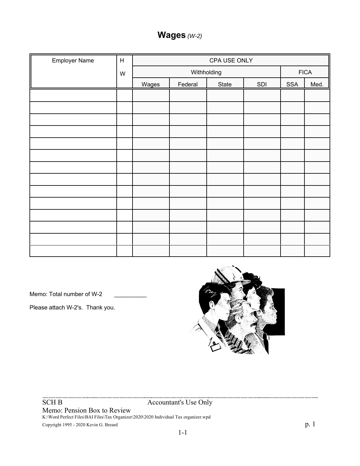# **Wages** *(W-2)*

| <b>Employer Name</b> | $\boldsymbol{\mathsf{H}}$ |       | CPA USE ONLY |       |     |            |             |
|----------------------|---------------------------|-------|--------------|-------|-----|------------|-------------|
|                      | W                         |       | Withholding  |       |     |            | <b>FICA</b> |
|                      |                           | Wages | Federal      | State | SDI | <b>SSA</b> | Med.        |
|                      |                           |       |              |       |     |            |             |
|                      |                           |       |              |       |     |            |             |
|                      |                           |       |              |       |     |            |             |
|                      |                           |       |              |       |     |            |             |
|                      |                           |       |              |       |     |            |             |
|                      |                           |       |              |       |     |            |             |
|                      |                           |       |              |       |     |            |             |
|                      |                           |       |              |       |     |            |             |
|                      |                           |       |              |       |     |            |             |
|                      |                           |       |              |       |     |            |             |
|                      |                           |       |              |       |     |            |             |
|                      |                           |       |              |       |     |            |             |
|                      |                           |       |              |       |     |            |             |
|                      |                           |       |              |       |     |            |             |

Memo: Total number of W-2

Please attach W-2's. Thank you.



SCH B Accountant's Use Only

Memo: Pension Box to Review K:\Word Perfect Files\BAI Files\Tax Organizer\2020\2020 Individual Tax organizer.wpd

Copyright 1995 - 2020 Kevin G. Breard p. 1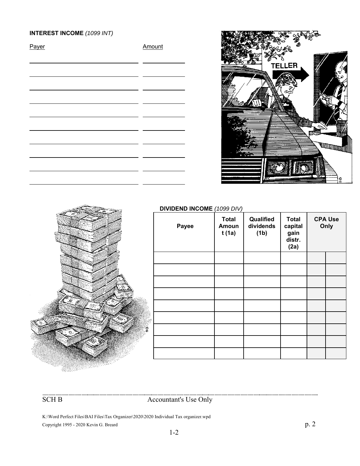# **INTEREST INCOME** *(1099 INT)*

| Payer | Amount |
|-------|--------|
|       |        |
|       |        |
|       |        |
|       |        |
|       |        |
|       |        |
|       |        |
|       |        |
|       |        |
|       |        |





#### **DIVIDEND INCOME** *(1099 DIV)*

| Payee | <b>Total</b><br>Amoun<br>t (1a) | Qualified<br>dividends<br>(1 <sub>b</sub> ) | <b>Total</b><br>capital<br>gain<br>distr.<br>(2a) | <b>CPA Use</b><br>Only |
|-------|---------------------------------|---------------------------------------------|---------------------------------------------------|------------------------|
|       |                                 |                                             |                                                   |                        |
|       |                                 |                                             |                                                   |                        |
|       |                                 |                                             |                                                   |                        |
|       |                                 |                                             |                                                   |                        |
|       |                                 |                                             |                                                   |                        |
|       |                                 |                                             |                                                   |                        |
|       |                                 |                                             |                                                   |                        |
|       |                                 |                                             |                                                   |                        |
|       |                                 |                                             |                                                   |                        |

SCH B Accountant's Use Only

K:\Word Perfect Files\BAI Files\Tax Organizer\2020\2020 Individual Tax organizer.wpd Copyright 1995 - 2020 Kevin G. Breard p. 2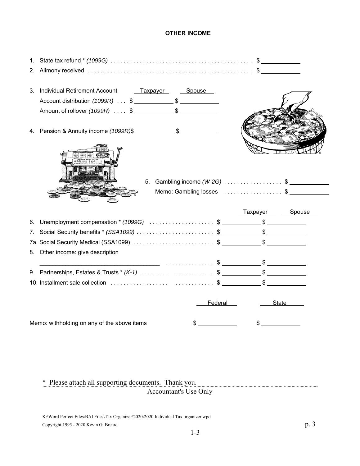#### **OTHER INCOME**

| 1. |                                                         |         |                      |       |
|----|---------------------------------------------------------|---------|----------------------|-------|
| 2. |                                                         |         |                      |       |
| 3. | Individual Retirement Account<br><u>Taxpayer Spouse</u> |         |                      |       |
|    |                                                         |         |                      |       |
|    |                                                         |         |                      |       |
| 4. |                                                         |         |                      |       |
|    | 5. Gambling income $(W-2G)$ \$                          |         |                      |       |
|    | Memo: Gambling losses \$                                |         |                      |       |
|    |                                                         |         |                      |       |
|    |                                                         |         | Taxpayer Spouse      |       |
| 6. |                                                         |         |                      |       |
| 7. |                                                         |         |                      |       |
|    |                                                         |         |                      |       |
|    | 8. Other income: give description                       |         |                      |       |
|    |                                                         |         |                      |       |
|    |                                                         |         |                      |       |
|    |                                                         |         |                      |       |
|    |                                                         | Federal |                      | State |
|    | Memo: withholding on any of the above items             | $\sim$  | $\frac{1}{\sqrt{2}}$ |       |

\* Please attach all supporting documents. Thank you. rents. Thank you.<br>Accountant's Use Only

K:\Word Perfect Files\BAI Files\Tax Organizer\2020\2020 Individual Tax organizer.wpd Copyright 1995 - 2020 Kevin G. Breard p. 3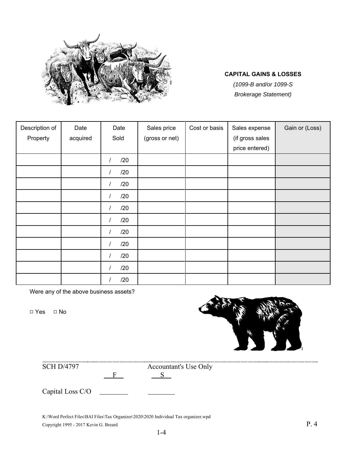

# **CAPITAL GAINS & LOSSES**

*(1099-B and/or 1099-S Brokerage Statement)*

| Description of | Date     | Date                  | Sales price    | Cost or basis | Sales expense   | Gain or (Loss) |
|----------------|----------|-----------------------|----------------|---------------|-----------------|----------------|
| Property       | acquired | Sold                  | (gross or net) |               | (if gross sales |                |
|                |          |                       |                |               | price entered)  |                |
|                |          | /20<br>$\overline{1}$ |                |               |                 |                |
|                |          | /20<br>$\prime$       |                |               |                 |                |
|                |          | /20<br>$\prime$       |                |               |                 |                |
|                |          | /20<br>I              |                |               |                 |                |
|                |          | /20<br>$\overline{I}$ |                |               |                 |                |
|                |          | /20<br>$\prime$       |                |               |                 |                |
|                |          | /20<br>$\overline{1}$ |                |               |                 |                |
|                |          | /20<br>$\prime$       |                |               |                 |                |
|                |          | /20<br>$\overline{1}$ |                |               |                 |                |
|                |          | /20                   |                |               |                 |                |
|                |          | /20                   |                |               |                 |                |

Were any of the above business assets?

□ Yes □ No



SCH D/4797 Accountant's Use Only

 $F \t S$ 

Capital Loss C/O

K:\Word Perfect Files\BAI Files\Tax Organizer\2020\2020 Individual Tax organizer.wpd Copyright 1995 - 2017 Kevin G. Breard P. 4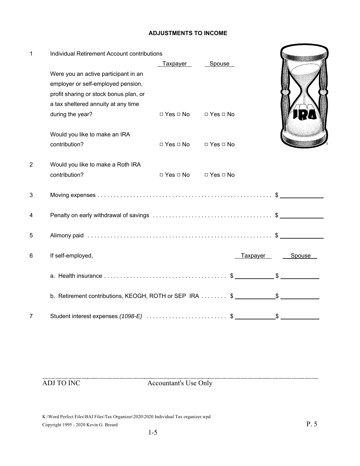### **ADJUSTMENTS TO INCOME**

| $\mathbf{1}$   | Individual Retirement Account contributions                                                                                                                 |                      |                      |          |        |  |
|----------------|-------------------------------------------------------------------------------------------------------------------------------------------------------------|----------------------|----------------------|----------|--------|--|
|                | Were you an active participant in an<br>employer or self-employed pension,<br>profit sharing or stock bonus plan, or<br>a tax sheltered annuity at any time | Taxpayer             | Spouse               |          |        |  |
|                | during the year?                                                                                                                                            | $\Box$ Yes $\Box$ No | $\Box$ Yes $\Box$ No |          |        |  |
|                | Would you like to make an IRA<br>contribution?                                                                                                              | $\Box$ Yes $\Box$ No | $\Box$ Yes $\Box$ No |          |        |  |
| $\overline{2}$ | Would you like to make a Roth IRA<br>contribution?                                                                                                          | $\Box$ Yes $\Box$ No | $\Box$ Yes $\Box$ No |          |        |  |
| 3              |                                                                                                                                                             |                      |                      |          |        |  |
| 4              |                                                                                                                                                             |                      |                      |          |        |  |
| 5              |                                                                                                                                                             |                      |                      |          |        |  |
| 6              | If self-employed,                                                                                                                                           |                      |                      | Taxpayer | Spouse |  |
|                |                                                                                                                                                             |                      |                      |          |        |  |
|                | b. Retirement contributions, KEOGH, ROTH or SEP IRA \$ _____________\$                                                                                      |                      |                      |          |        |  |
| 7              |                                                                                                                                                             |                      |                      |          |        |  |

ADJ TO INC Accountant's Use Only

K:\Word Perfect Files\BAI Files\Tax Organizer\2020\2020 Individual Tax organizer.wpd Copyright 1995 - 2020 Kevin G. Breard P. 5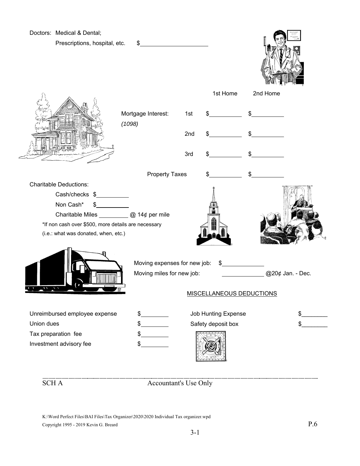

K:\Word Perfect Files\BAI Files\Tax Organizer\2020\2020 Individual Tax organizer.wpd Copyright 1995 - 2019 Kevin G. Breard  $P.6$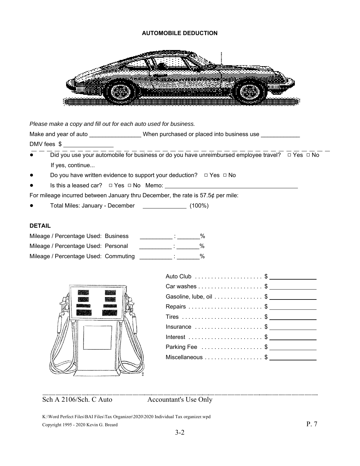#### **AUTOMOBILE DEDUCTION**



*Please make a copy and fill out for each auto used for business.*

Make and year of auto **Example 20** When purchased or placed into business use

DMV fees \$

- ! Did you use your automobile for business or do you have unreimbursed employee travel? 9 Yes 9 No If yes, continue...
- Do you have written evidence to support your deduction?  $\Box$  Yes  $\Box$  No
- Is this a leased car?  $\Box$  Yes  $\Box$  No Memo: \_\_

For mileage incurred between January thru December, the rate is 57.5¢ per mile:

Total Miles: January - December (100%)

#### **DETAIL**

| Mileage / Percentage Used: Business  |  | $\%$ |
|--------------------------------------|--|------|
| Mileage / Percentage Used: Personal  |  | %    |
| Mileage / Percentage Used: Commuting |  | %    |



| $Insurance$ \$   |  |
|------------------|--|
|                  |  |
| Parking Fee \$   |  |
| Miscellaneous \$ |  |
|                  |  |

Sch A 2106/Sch. C Auto Accountant's Use Only

K:\Word Perfect Files\BAI Files\Tax Organizer\2020\2020 Individual Tax organizer.wpd Copyright 1995 - 2020 Kevin G. Breard P. 7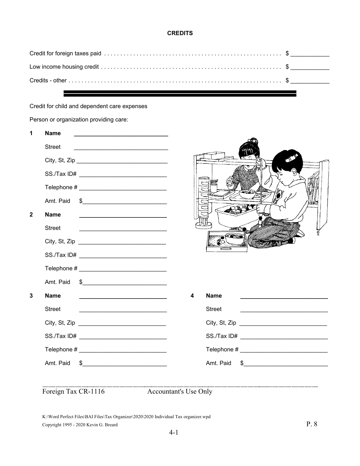### **CREDITS**

Credit for child and dependent care expenses

Person or organization providing care:

| 1            | <b>Name</b>                                    |                                                                                                                                                                                                                                                                                                                                                                     |               |
|--------------|------------------------------------------------|---------------------------------------------------------------------------------------------------------------------------------------------------------------------------------------------------------------------------------------------------------------------------------------------------------------------------------------------------------------------|---------------|
|              | <b>Street</b>                                  |                                                                                                                                                                                                                                                                                                                                                                     |               |
|              |                                                |                                                                                                                                                                                                                                                                                                                                                                     |               |
|              |                                                |                                                                                                                                                                                                                                                                                                                                                                     | D,            |
|              |                                                | 嘂                                                                                                                                                                                                                                                                                                                                                                   |               |
|              | Amt. Paid                                      | $\frac{1}{2}$                                                                                                                                                                                                                                                                                                                                                       |               |
| $\mathbf{2}$ | <b>Name</b>                                    |                                                                                                                                                                                                                                                                                                                                                                     |               |
|              | <b>Street</b>                                  |                                                                                                                                                                                                                                                                                                                                                                     |               |
|              | City, St, Zip                                  |                                                                                                                                                                                                                                                                                                                                                                     |               |
|              |                                                |                                                                                                                                                                                                                                                                                                                                                                     |               |
|              | Telephone # __________________________________ |                                                                                                                                                                                                                                                                                                                                                                     |               |
|              | Amt. Paid                                      | $\begin{picture}(20,10) \put(0,0){\vector(1,0){100}} \put(15,0){\vector(1,0){100}} \put(15,0){\vector(1,0){100}} \put(15,0){\vector(1,0){100}} \put(15,0){\vector(1,0){100}} \put(15,0){\vector(1,0){100}} \put(15,0){\vector(1,0){100}} \put(15,0){\vector(1,0){100}} \put(15,0){\vector(1,0){100}} \put(15,0){\vector(1,0){100}} \put(15,0){\vector(1,0){100}} \$ |               |
| 3            | <b>Name</b>                                    | <b>Name</b><br>4<br><u> 1989 - Johann Barbara, martxa alemaniar arg</u>                                                                                                                                                                                                                                                                                             |               |
|              | <b>Street</b>                                  | <b>Street</b>                                                                                                                                                                                                                                                                                                                                                       |               |
|              |                                                |                                                                                                                                                                                                                                                                                                                                                                     |               |
|              |                                                |                                                                                                                                                                                                                                                                                                                                                                     |               |
|              |                                                |                                                                                                                                                                                                                                                                                                                                                                     |               |
|              | Amt. Paid                                      | Amt. Paid<br>$\frac{1}{2}$                                                                                                                                                                                                                                                                                                                                          | $\frac{1}{2}$ |
|              |                                                |                                                                                                                                                                                                                                                                                                                                                                     |               |
|              | Foreign Tax CR-1116                            | <b>Accountant's Use Only</b>                                                                                                                                                                                                                                                                                                                                        |               |

K:\Word Perfect Files\BAI Files\Tax Organizer\2020\2020 Individual Tax organizer.wpd Copyright 1995 - 2020 Kevin G. Breard P. 8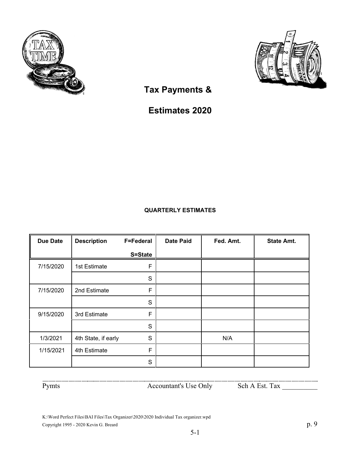



 **Tax Payments &**

**Estimates 2020**

# **QUARTERLY ESTIMATES**

| <b>Due Date</b> | <b>Description</b>  | <b>F=Federal</b> | <b>Date Paid</b> | Fed. Amt. | <b>State Amt.</b> |
|-----------------|---------------------|------------------|------------------|-----------|-------------------|
|                 |                     | S=State          |                  |           |                   |
| 7/15/2020       | 1st Estimate        | F                |                  |           |                   |
|                 |                     | S                |                  |           |                   |
| 7/15/2020       | 2nd Estimate        | F                |                  |           |                   |
|                 |                     | S                |                  |           |                   |
| 9/15/2020       | 3rd Estimate        | F                |                  |           |                   |
|                 |                     | S                |                  |           |                   |
| 1/3/2021        | 4th State, if early | S                |                  | N/A       |                   |
| 1/15/2021       | 4th Estimate        | F                |                  |           |                   |
|                 |                     | S                |                  |           |                   |

Pymts Accountant's Use Only Sch A Est. Tax \_\_\_\_\_\_\_\_\_\_

K:\Word Perfect Files\BAI Files\Tax Organizer\2020\2020 Individual Tax organizer.wpd Copyright 1995 - 2020 Kevin G. Breard p. 9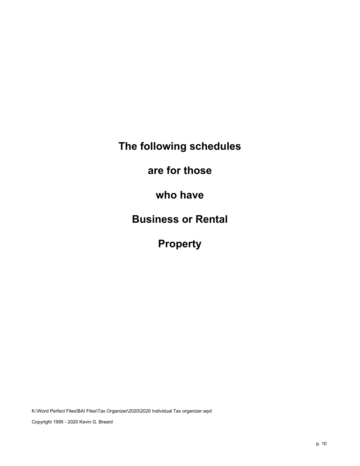**The following schedules**

**are for those**

**who have**

**Business or Rental**

**Property**

K:\Word Perfect Files\BAI Files\Tax Organizer\2020\2020 Individual Tax organizer.wpd

Copyright 1995 - 2020 Kevin G. Breard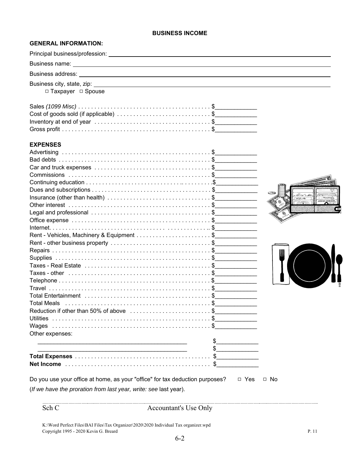#### **BUSINESS INCOME**

## **GENERAL INFORMATION:**

| □ Taxpayer □ Spouse                                                                       |                                                                                                                      |
|-------------------------------------------------------------------------------------------|----------------------------------------------------------------------------------------------------------------------|
|                                                                                           |                                                                                                                      |
| Cost of goods sold (if applicable) \$                                                     |                                                                                                                      |
| Inventory at end of year $\ldots \ldots \ldots \ldots \ldots \ldots \ldots \ldots \ldots$ |                                                                                                                      |
|                                                                                           |                                                                                                                      |
| <b>EXPENSES</b>                                                                           |                                                                                                                      |
|                                                                                           |                                                                                                                      |
|                                                                                           |                                                                                                                      |
|                                                                                           |                                                                                                                      |
|                                                                                           |                                                                                                                      |
|                                                                                           |                                                                                                                      |
|                                                                                           | C D                                                                                                                  |
| Insurance (other than health) \$                                                          | $\langle \mathcal{Q}_{2}, \mathcal{L}_{3}, \mathcal{P}_{4}, \mathcal{R}_{5}\rangle$<br>$10 - 3 - 3$<br>100000 000000 |
|                                                                                           |                                                                                                                      |
|                                                                                           |                                                                                                                      |
|                                                                                           |                                                                                                                      |
|                                                                                           |                                                                                                                      |
|                                                                                           |                                                                                                                      |
|                                                                                           |                                                                                                                      |
|                                                                                           | ₩                                                                                                                    |
|                                                                                           |                                                                                                                      |
|                                                                                           |                                                                                                                      |
|                                                                                           |                                                                                                                      |
|                                                                                           |                                                                                                                      |
|                                                                                           |                                                                                                                      |
|                                                                                           |                                                                                                                      |
|                                                                                           |                                                                                                                      |
| Reduction if other than 50% of above \$                                                   |                                                                                                                      |
|                                                                                           |                                                                                                                      |
|                                                                                           |                                                                                                                      |
| Other expenses:                                                                           |                                                                                                                      |
|                                                                                           | \$                                                                                                                   |
|                                                                                           |                                                                                                                      |
|                                                                                           |                                                                                                                      |
|                                                                                           |                                                                                                                      |
| Do you use your office at home, as your "office" for tax deduction purposes?              | $\Box$ Yes<br>$\Box$ No                                                                                              |
| (If we have the proration from last year, write: see last year).                          |                                                                                                                      |
|                                                                                           |                                                                                                                      |

K:\Word Perfect Files\BAI Files\Tax Organizer\2020\2020 Individual Tax organizer.wpd Copyright 1995 - 2020 Kevin G. Breard P. 11

Sch C  $\alpha$  Accountant's Use Only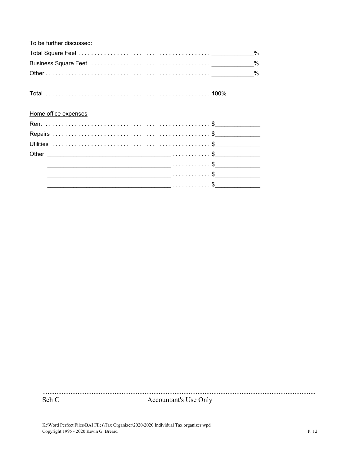| To be further discussed: |   |
|--------------------------|---|
|                          | % |
|                          | % |
|                          |   |
|                          |   |
| Home office expenses     |   |
|                          |   |
|                          |   |
|                          |   |
|                          |   |
|                          |   |
|                          |   |
|                          |   |

Sch C

Accountant's Use Only

K:\Word Perfect Files\BAI Files\Tax Organizer\2020\2020 Individual Tax organizer.wpd Copyright 1995 - 2020 Kevin G. Breard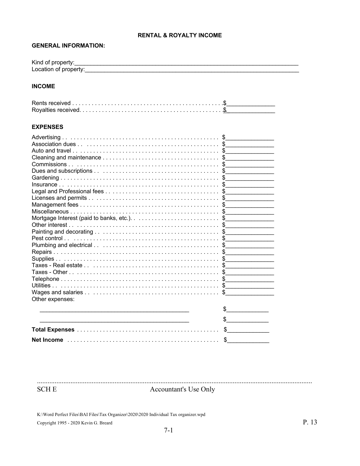#### **RENTAL & ROYALTY INCOME**

### **GENERAL INFORMATION:**

| Kind of property:     |  |
|-----------------------|--|
| Location of property: |  |

#### **INCOME**

#### **EXPENSES**

| Other expenses: |  |    |
|-----------------|--|----|
|                 |  |    |
|                 |  |    |
|                 |  |    |
|                 |  |    |
|                 |  |    |
|                 |  | S. |

**SCHE** 

Accountant's Use Only

K:\Word Perfect Files\BAI Files\Tax Organizer\2020\2020 Individual Tax organizer.wpd Copyright 1995 - 2020 Kevin G. Breard